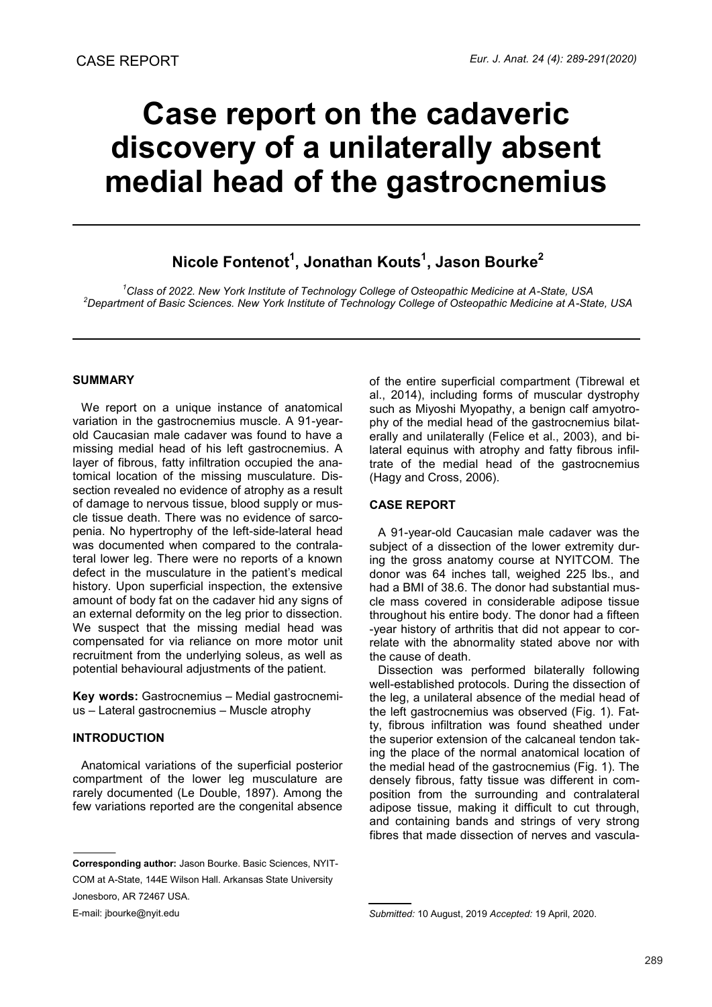# **Case report on the cadaveric discovery of a unilaterally absent medial head of the gastrocnemius**

# **Nicole Fontenot<sup>1</sup> , Jonathan Kouts<sup>1</sup> , Jason Bourke<sup>2</sup>**

*<sup>1</sup>Class of 2022. New York Institute of Technology College of Osteopathic Medicine at A-State, USA <sup>2</sup>Department of Basic Sciences. New York Institute of Technology College of Osteopathic Medicine at A-State, USA*

#### **SUMMARY**

We report on a unique instance of anatomical variation in the gastrocnemius muscle. A 91-yearold Caucasian male cadaver was found to have a missing medial head of his left gastrocnemius. A layer of fibrous, fatty infiltration occupied the anatomical location of the missing musculature. Dissection revealed no evidence of atrophy as a result of damage to nervous tissue, blood supply or muscle tissue death. There was no evidence of sarcopenia. No hypertrophy of the left-side-lateral head was documented when compared to the contralateral lower leg. There were no reports of a known defect in the musculature in the patient's medical history. Upon superficial inspection, the extensive amount of body fat on the cadaver hid any signs of an external deformity on the leg prior to dissection. We suspect that the missing medial head was compensated for via reliance on more motor unit recruitment from the underlying soleus, as well as potential behavioural adjustments of the patient.

**Key words:** Gastrocnemius – Medial gastrocnemius – Lateral gastrocnemius – Muscle atrophy

## **INTRODUCTION**

Anatomical variations of the superficial posterior compartment of the lower leg musculature are rarely documented (Le Double, 1897). Among the few variations reported are the congenital absence

Jonesboro, AR 72467 USA.

E-mail: jbourke@nyit.edu

of the entire superficial compartment (Tibrewal et al., 2014), including forms of muscular dystrophy such as Miyoshi Myopathy, a benign calf amyotrophy of the medial head of the gastrocnemius bilaterally and unilaterally (Felice et al., 2003), and bilateral equinus with atrophy and fatty fibrous infiltrate of the medial head of the gastrocnemius (Hagy and Cross, 2006).

## **CASE REPORT**

A 91-year-old Caucasian male cadaver was the subject of a dissection of the lower extremity during the gross anatomy course at NYITCOM. The donor was 64 inches tall, weighed 225 lbs., and had a BMI of 38.6. The donor had substantial muscle mass covered in considerable adipose tissue throughout his entire body. The donor had a fifteen -year history of arthritis that did not appear to correlate with the abnormality stated above nor with the cause of death.

Dissection was performed bilaterally following well-established protocols. During the dissection of the leg, a unilateral absence of the medial head of the left gastrocnemius was observed (Fig. 1). Fatty, fibrous infiltration was found sheathed under the superior extension of the calcaneal tendon taking the place of the normal anatomical location of the medial head of the gastrocnemius (Fig. 1). The densely fibrous, fatty tissue was different in composition from the surrounding and contralateral adipose tissue, making it difficult to cut through, and containing bands and strings of very strong fibres that made dissection of nerves and vascula-

**Corresponding author:** Jason Bourke. Basic Sciences, NYIT-COM at A-State, 144E Wilson Hall. Arkansas State University

*Submitted:* 10 August, 2019 *Accepted:* 19 April, 2020.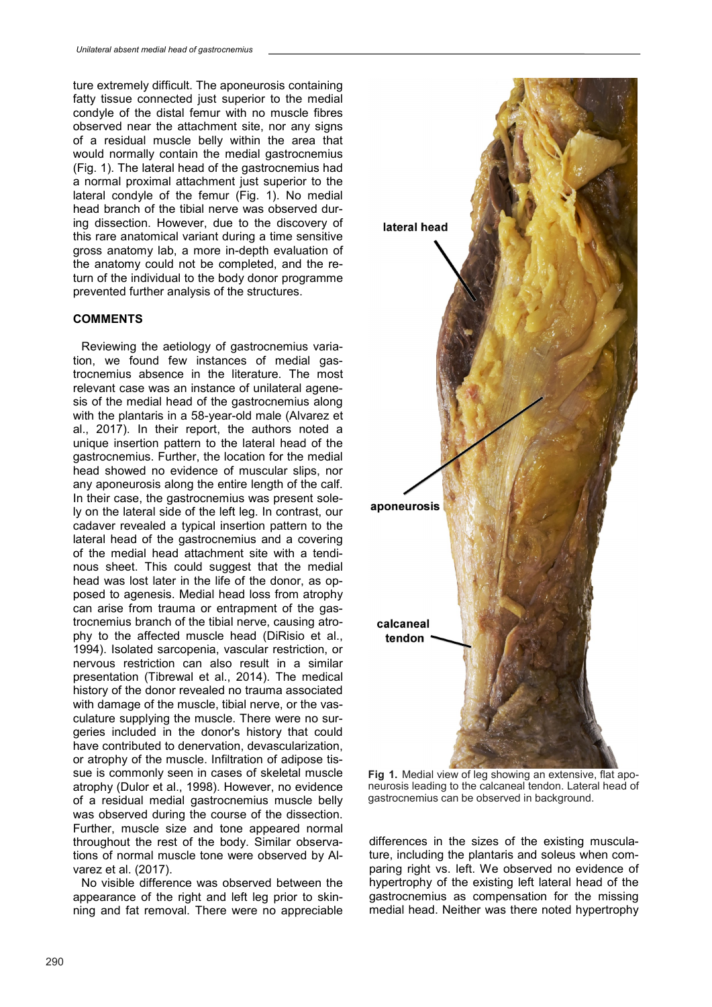ture extremely difficult. The aponeurosis containing fatty tissue connected just superior to the medial condyle of the distal femur with no muscle fibres observed near the attachment site, nor any signs of a residual muscle belly within the area that would normally contain the medial gastrocnemius (Fig. 1). The lateral head of the gastrocnemius had a normal proximal attachment just superior to the lateral condyle of the femur (Fig. 1). No medial head branch of the tibial nerve was observed during dissection. However, due to the discovery of this rare anatomical variant during a time sensitive gross anatomy lab, a more in-depth evaluation of the anatomy could not be completed, and the return of the individual to the body donor programme prevented further analysis of the structures.

#### **COMMENTS**

Reviewing the aetiology of gastrocnemius variation, we found few instances of medial gastrocnemius absence in the literature. The most relevant case was an instance of unilateral agenesis of the medial head of the gastrocnemius along with the plantaris in a 58-year-old male (Alvarez et al., 2017). In their report, the authors noted a unique insertion pattern to the lateral head of the gastrocnemius. Further, the location for the medial head showed no evidence of muscular slips, nor any aponeurosis along the entire length of the calf. In their case, the gastrocnemius was present solely on the lateral side of the left leg. In contrast, our cadaver revealed a typical insertion pattern to the lateral head of the gastrocnemius and a covering of the medial head attachment site with a tendinous sheet. This could suggest that the medial head was lost later in the life of the donor, as opposed to agenesis. Medial head loss from atrophy can arise from trauma or entrapment of the gastrocnemius branch of the tibial nerve, causing atrophy to the affected muscle head (DiRisio et al., 1994). Isolated sarcopenia, vascular restriction, or nervous restriction can also result in a similar presentation (Tibrewal et al., 2014). The medical history of the donor revealed no trauma associated with damage of the muscle, tibial nerve, or the vasculature supplying the muscle. There were no surgeries included in the donor's history that could have contributed to denervation, devascularization, or atrophy of the muscle. Infiltration of adipose tissue is commonly seen in cases of skeletal muscle atrophy (Dulor et al., 1998). However, no evidence of a residual medial gastrocnemius muscle belly was observed during the course of the dissection. Further, muscle size and tone appeared normal throughout the rest of the body. Similar observations of normal muscle tone were observed by Alvarez et al. (2017).

No visible difference was observed between the appearance of the right and left leg prior to skinning and fat removal. There were no appreciable



**Fig 1.** Medial view of leg showing an extensive, flat aponeurosis leading to the calcaneal tendon. Lateral head of gastrocnemius can be observed in background.

differences in the sizes of the existing musculature, including the plantaris and soleus when comparing right vs. left. We observed no evidence of hypertrophy of the existing left lateral head of the gastrocnemius as compensation for the missing medial head. Neither was there noted hypertrophy